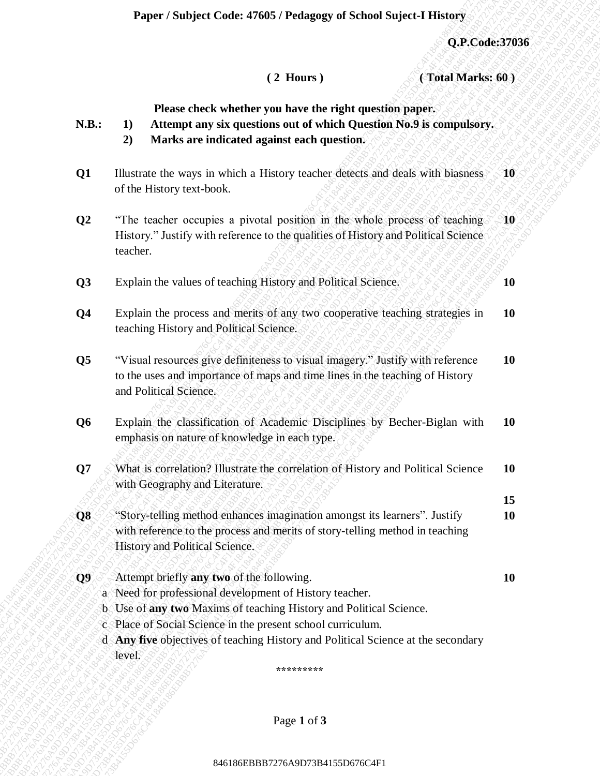**Paper / Subject Code: 47605 / Pedagogy of School Suject-I History**

**15**

 **( 2 Hours ) ( Total Marks: 60 )**

**Please check whether you have the right question paper.**

- **N.B.: 1) Attempt any six questions out of which Question No.9 is compulsory.**
	- **2) Marks are indicated against each question.**
- **Q1** Illustrate the ways in which a History teacher detects and deals with biasness of the History text-book. **10**
- **Q2** "The teacher occupies a pivotal position in the whole process of teaching History." Justify with reference to the qualities of History and Political Science teacher. **10**

**Q3** Explain the values of teaching History and Political Science. **10** and Political Science.

- **Q4** Explain the process and merits of any two cooperative teaching strategies in teaching History and Political Science. **10**
- **Q5** "Visual resources give definiteness to visual imagery." Justify with reference to the uses and importance of maps and time lines in the teaching of History and Political Science. **10**
- **Q6** Explain the classification of Academic Disciplines by Becher-Biglan with emphasis on nature of knowledge in each type. **10**
- **Q7** What is correlation? Illustrate the correlation of History and Political Science with Geography and Literature. **10**
- **224 626** (224 Hours) (224 Hours) (224 Mortas 66)<br>
23. B. 24 Mittugut any stx questions on not of which questions Pool example<br>incry.<br>
23. Mittes are indicated agented used to method.<br>
23. Burkscare indicated agents used (2) PConder27626<br>
846. **Press chock whether you have the right question paper.**<br>
85. **B.** Alternation and the more interest agence of the which Concerting No.91 computery,<br>
91 Thurman de surge sixt with a History reacher **Experimentation Context of The Context of The Context of The Context of The Context of The Context of Context of Context of Context of Context of Context of Context of Context of Context of Context of Context of Context Expert / Studyet Codes 47605 / Fredays of School Sujert 4 TH3607<br>
(Trial African Studyet (11 a Thomas the victor of which Quentity map of the Codes C4F184616<br>
11. The memorial art is equal to the state of the state of th** Paper : Stadyard Code: 47685 : Pedarey 1<br>
(2) Except (2) Horses Carticles on the value of which and the stadium of which and the stadium of the stadium of the stadium of the stadium of the stadium of the stadium of the st **Paper / Subject Code: 47685 / Pedagogy of School Supert 1 History (3001)** (3001 Code: 67936)<br> **12. Phone cleark visubers out was the right questions (No.6)**<br> **13. 32.** Marks are build each displace of which the first 846186EBBB7276A9D73B4155D676C4F1846186EBBB7276A9D73B4155D676C4F1846186EBBB7276A9D73B4155D676C4F1846186EBBB7276A9D73B4155D676C4F1846186EBBB7276A9D73B4155D676C4F1846186EBBB7276A9D73B4155D676C4F1 **Experise Subject Code: 476485 / Pedagogo of School Suject-I History (3) Code: 37646<br>
12 Elisans 1 (1) Altanta the state of state of static and the state of state of state of state of state of state of state of state of s Experise Subject Code: 476485 / Pedagogo of School Suject-I History (3) Code: 37646<br>
12 Elisans 1 (1) Altanta the state of state of static and the state of state of state of state of state of state of state of state of s Experise Subject Code: 476485 / Pedagogo of School Suject-I History (3) Code: 37646<br>
12 Elisans 1 (1) Altanta the state of state of static and the state of state of state of state of state of state of state of state of s Experise Subject Code: 476485 / Pedagogo of School Suject-I History (3) Code: 37646<br>
12 Elisans 1 (1) Altanta the state of state of static and the state of state of state of state of state of state of state of state of s Experise Subject Code: 476485 / Pedagogo of School Suject-I History (3) Code: 37646<br>
12 Elisans 1 (1) Altanta the state of state of static and the state of state of state of state of state of state of state of state of s Example: Studiest Code: 47605 Flexhapes of School Supercel History (Theorem 276 CAS6627936)**<br>
(2) History in distributed points are the fluid transformation of the shock that is mattern in the most of the state of the st **Example:** Stabiest Codes #7665 / Perhaps of School Saject-1 History (3. Codes 37056 (1.2. Homes cheef which they must be religible guardinary application paper. (1.2. Microsoft and the stability quandinary paper. (1.3. A **Exper / Stalipet Under 37645 / Fedagong of School Microsoft (3.1 Tom 1)**<br>
(2.2 Tom 1)<br>
(2.2 Tom 2002)<br> **Exact the Construction and the median work of the first quantities page of the state of the state of the median stat** 846186EBBB7276A9D73B4155D676C4F1846186EBBB7276A9D73B4155D676C4F1846186EBBB7276A9D73B4155D676C4F1846186EBBB7276A9D73B4155D676C4F1846186EBBB7276A9D73B4155D676C4F1846186EBBB7276A9D73B4155D676C4F1 84618761862760861876081862617618618626176186186264517636<br>
(2) HOMANS (3)<br>
12. There elset k shelter you have the right question Ske β is computed to<br>
13. 11. Attempt any six questions mut of which Question Ske β is comput 846186EBBB7276A9D73B4155D676C4F1846186EBBB7276A9D73B4155D676C4F1846186EBBB7276A9D73B4155D676C4F1846186EBBB7276A9D73B4155D676C4F1846186EBBB7276A9D73B4155D676C4F1846186EBBB7276A9D73B4155D676C4F1 **Example 18 Studyet Code: 47668 / Pedraney of School Styleet-I History Code: 3786<br>
12 Hours: 1<br>
12 Hours: 1<br>
12 Hours: 1<br>
12 Hours: 1<br>
12 Hours: 1<br>
12 Altrompt any six questions out of which Questian Kord is computed<br>rry. Example: Studyet Code: 47605 / Fedanger of School Suject History (2.17 Coule 37686**<br>
(2.2 Hours 1<br>
(1.2 Hours 1<br> **CALIC A461** Substant enterpret has the right question (with the sumplistic).<br>
2.3 Marks are individend ugai **Q8** Section Story-telling method enhances imagination amongst its learners". Justify with reference to the process and merits of story-telling method in teaching History and Political Science. **10**
	- **Q9** Attempt briefly **any two** of the following. **10** a Need for professional development of History teacher.
		- b Use of **any two** Maxims of teaching History and Political Science.
		- c Place of Social Science in the present school curriculum.
		- d **Any five** objectives of teaching History and Political Science at the secondary level.

**\*\*\*\*\*\*\*\*\***

Page **1** of **3**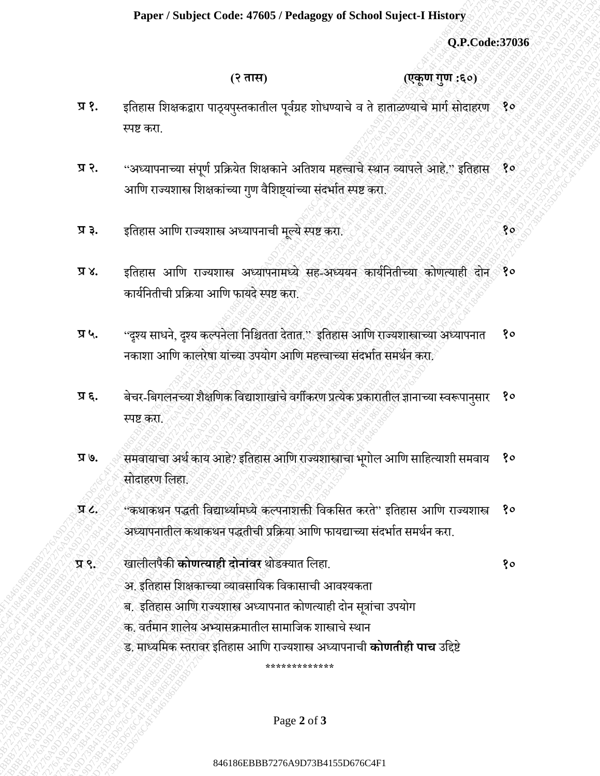## **Paper / Subject Code: 47605 / Pedagogy of School Suject-I History**

 **(२ तास) (एकूण गुण :६०)**

- **प्र १.** इतिहास शिक्षकद्वारा पाठ्यपुस्तकातील पूर्वग्रह शोधण्याचे व ते हाताळण्याचे मार्ग सोदाहरण १० स्पष्ट करा.
- **प्र २.** "अध्यापनाच्या संपूर्ण प्रक्रियेत शिक्षकाने अतिशय महत्त्वाचे स्थान व्यापले आहे." इतिहास<sup>ं</sup> १० आणि राज्यशास्त्र शिक्षकांच्या गुण वैशिष्ट्यांच्या संदर्भात स्पष्ट करा.
- **प्र ३.** इतिहास आतण राज्यिास्त्र अध्यापनाची मल्ये स्पष्ट करा. ू **१०**
- **प्र ४.** इतिहास आणि राज्यशास्त्र अध्यापनामध्ये सह-अध्ययन कार्यनितीच्या कोणत्याही दोन*ं* १० कायवतनिीची प्रतिया आतण फायदे स्पष्ट करा.
- प्र ५. "दृश्य साधने, दृश्य कल्पनेला निश्चितता देतात." इतिहास आणि राज्यशास्त्राच्या अध्यापनात नकाशा आणि कालरेषा यांच्या उपयोग आणि महत्त्वाच्या संदर्भात समर्थन करा. **१०**
- **प्र ६.** बेचर-तबर्लनच्या िैक्षतणक तर्द्यािाखाचं ेर्र्ीकरण प्रत्येक प्रकारािील ज्ञानाच्या स्र्रूपानसुार स्पष्ट करा. **१०**
- 846186EBBB7276A9D73B4155D676C4F1846186EBBB7276A9D73B4155D676C4F1846186EBBB7276A9D73B4155D676C4F1846186EBBB7276A9D73B4155D676C4F1846186EBBB7276A9D73B4155D676C4F1846186EBBB7276A9D73B4155D676C4F1 (2.2006)<br>84618626 EBBB7426186 EBBB7376D67624 EBBB73760<br>8176 EBBB7416 EBBB72760 EBBB72760 EBBB72760 EBBB72764<br>8276 EBBB72760 EBBB7276 EBBB72760 SUBB72760 EBBB72760 EBBB7276<br>826 EBBB7276 EBBB7276 SUBB7276 EBBB72760 EBBB7276 84641861864186C4F18462476C4F184627648666647626666476266664762666647626666476266664762666647626666476266664762666647636666476366647676366647636664763666476366647636664763666476366647636664763666476366647636664763666476366 Paper / Subject Code: 47685 / Pedagogy of School Suject 1 History<br>
921 Continues and the mean of the mean of the state of the state of the state of the state of the mean of the mean of the state of the state of the state 846186EBBB7276A9D73B4155D676C4F1846186EBBB7276A9D73B4155D676C4F1846186EBBB7276A9D73B4155D676C4F1846186EBBB7276A9D73B4155D676C4F1846186EBBB7276A9D73B4155D676C4F1846186EBBB7276A9D73B4155D676C4F1 Paper / Subject Code: 47665 / Protograp of School Superior History (3) (17. Code: 2786)<br>
(c) TV = c)<br>
since the first of the subset of the situation is in contact that in particular is a<br>
stress of the summer signals of 8461876261864187605176C484197635P6186618760461376046137604613760461376046137604613760461376046137604613760461376046137604613760461376046137604618624618646186186246186246186246186246186246186246186246186246186246186246186 Fager: Subject Cole: 47645 / Fedagogs of School Suject-History<br>  $Q$ -Picode: 3764<br>  $Q$ -Rode: 3764<br>  $Q$ -Rode: 4764<br>  $Q$ -Rode: 4764<br>  $Q$ -Rode: 4764<br>  $Q$ -Rode: 4764<br>  $Q$ -Rode: 4764<br>  $Q$ -Rode: 4764<br>  $Q$ -Rode: 4764<br>  $Q$ -Rode: Fager: Subject Cole: 47645 / Fedagogs of School Suject-History<br>  $Q$ -Picode: 3764<br>  $Q$ -Rode: 3764<br>  $Q$ -Rode: 4764<br>  $Q$ -Rode: 4764<br>  $Q$ -Rode: 4764<br>  $Q$ -Rode: 4764<br>  $Q$ -Rode: 4764<br>  $Q$ -Rode: 4764<br>  $Q$ -Rode: 4764<br>  $Q$ -Rode: Fager: Subject Cole: 47645 / Fedagogs of School Suject-History<br>  $Q$ -Picode: 3764<br>  $Q$ -Rode: 3764<br>  $Q$ -Rode: 4764<br>  $Q$ -Rode: 4764<br>  $Q$ -Rode: 4764<br>  $Q$ -Rode: 4764<br>  $Q$ -Rode: 4764<br>  $Q$ -Rode: 4764<br>  $Q$ -Rode: 4764<br>  $Q$ -Rode: Fager: Subject Cole: 47645 / Fedagogs of School Suject-History<br>  $Q$ -Picode: 3764<br>  $Q$ -Rode: 3764<br>  $Q$ -Rode: 4764<br>  $Q$ -Rode: 4764<br>  $Q$ -Rode: 4764<br>  $Q$ -Rode: 4764<br>  $Q$ -Rode: 4764<br>  $Q$ -Rode: 4764<br>  $Q$ -Rode: 4764<br>  $Q$ -Rode: Fager: Subject Cole: 47645 / Fedagogs of School Suject-History<br>  $Q$ -Picode: 3764<br>  $Q$ -Rode: 3764<br>  $Q$ -Rode: 4764<br>  $Q$ -Rode: 4764<br>  $Q$ -Rode: 4764<br>  $Q$ -Rode: 4764<br>  $Q$ -Rode: 4764<br>  $Q$ -Rode: 4764<br>  $Q$ -Rode: 4764<br>  $Q$ -Rode: **Paper Soulper Code: 47605 Protograp of School Super Library CoColes37036**<br>
(PTH)<br> **1746**<br> **17476**<br> **17476**<br> **17476**<br> **18476**<br> **18476**<br> **18476**<br> **18476**<br> **18476**<br> **18476**<br> **18476**<br> **18486 Constrained the state of the s**  $P_{MSE}$  Stabiest Code: 47645 / Protogram of School Stabiest Listance<br>
(7. 1978)<br>
17. 1978–1976 (17 1993)<br>
17. 1978–1976 (17 1993)<br>
17. 1978–1976 (17 1983)<br>
17. 1978–1976 (17 1983–1976) and African Ayelian Associations of Pager / Stalyiest Code: 4764574 Medagang of School Magnet / Library<br>
(2.9 Pages / 2004<br>
(2.9 Page / 2.9 Page / 2.9 Page / 2.9 Page / 2.9 Page / 2.9 Page / 2.9<br>
27 8. Page / The Page / 2.9 Page / 2.9 Page / 2.9 Page / 2.9 **Paper / Nobject Code: 47685 / Pedagong of Schmol Sojett4 History (3. B.Code:37636)**<br>
(2. **37876**<br>
27876 **c** determine application by the showers of a conserved in the distribution of the set of the set of the set of the **Paper / Sinhjeet Crafte 47665 / Pedagogy of Schmal Sinjeet-I History (2)**<br>
(2) PC onder a complete control of the stress of a complete control of the stress of a complete control of the stress of a complete control of t Pinper / Sabiject Code: 47685 Probagoge of School Solect-Titlaney<br>
(2 mm)<br>
(2 mm)<br>
(2 mm)<br>
(2 mm)<br>
2 f. Since of each operator of the since of the since of the since of the since of the<br>
176. Since of the tracerase operat **Paper / Subject Code: 47665 / Pedagogy of School Suject I Elistory<br>
(articles)**<br>
(articles)<br>
(articles)<br> **178.**<br> **278.**<br>
178. - "Green and the specification of the shown in discussions in the straight shopped. The<br>
stra **Paper / Subject Code: 47605 / Pedagogy of School Suject Histograp (2.11: Code:37036**<br>
(2.11: Code:37036<br>
(2.21: Code:37036<br>
(2.21: Code:37036<br>
278. Signar of Baratam are principles and area are also and paper are also a प्र ७. <sub>्</sub>े समवायाचा अर्थ काय आहे? इतिहास आणि राज्यशास्त्राचा भूगोल आणि साहित्याशी समवाय सोदाहरण तलहा. **१०**
	- **प्र ८.** "कथाकथन पद्धिी तर्द्यार्थयावमध्ये कल्पनािक्ती तर्कतसि करिे" इतिहास आतण राज्यिास्त्र अध्यापनातील कथाकथन पद्धतीची प्रक्रिया आणि फायद्याच्या संदर्भात समर्थन करा. **१०**
	- **प्र ९.** खालीलपैकी **कोणत्याही दोनाांवर** थोडक्याि तलहा. **१०**
		-
- अ. इतिहास शिक्षकाच्या व्यावसायिक विकासाची आवश्यकता
- ब. इतिहास आणि राज्यशास्त्र अध्यापनात कोणत्याही दोन सूत्रांचा उपयोग
- क. वर्तमान शालेय अभ्यासक्रमातील सामाजिक शास्त्राचे स्थान
- ड. माध्यतमक स्िरार्र इतिहास आतण राज्यिास्त्र अध्यापनाची **कोणतीही पाच** उतिष्टे

**\*\*\*\*\*\*\*\*\*\*\*\*\***

Page **2** of **3**